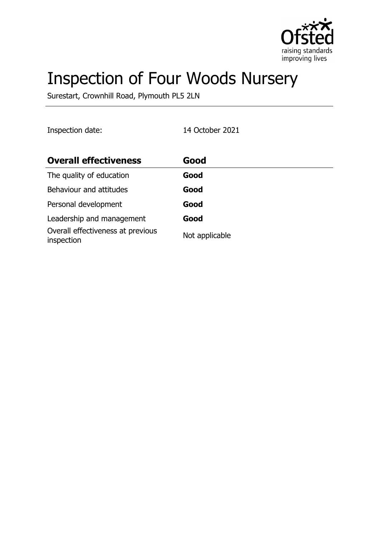

# Inspection of Four Woods Nursery

Surestart, Crownhill Road, Plymouth PL5 2LN

Inspection date: 14 October 2021

| <b>Overall effectiveness</b>                    | Good           |
|-------------------------------------------------|----------------|
| The quality of education                        | Good           |
| Behaviour and attitudes                         | Good           |
| Personal development                            | Good           |
| Leadership and management                       | Good           |
| Overall effectiveness at previous<br>inspection | Not applicable |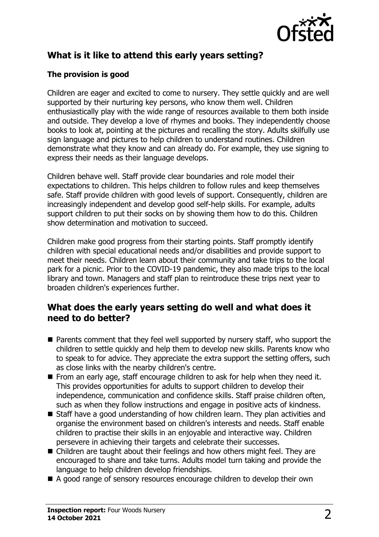

# **What is it like to attend this early years setting?**

### **The provision is good**

Children are eager and excited to come to nursery. They settle quickly and are well supported by their nurturing key persons, who know them well. Children enthusiastically play with the wide range of resources available to them both inside and outside. They develop a love of rhymes and books. They independently choose books to look at, pointing at the pictures and recalling the story. Adults skilfully use sign language and pictures to help children to understand routines. Children demonstrate what they know and can already do. For example, they use signing to express their needs as their language develops.

Children behave well. Staff provide clear boundaries and role model their expectations to children. This helps children to follow rules and keep themselves safe. Staff provide children with good levels of support. Consequently, children are increasingly independent and develop good self-help skills. For example, adults support children to put their socks on by showing them how to do this. Children show determination and motivation to succeed.

Children make good progress from their starting points. Staff promptly identify children with special educational needs and/or disabilities and provide support to meet their needs. Children learn about their community and take trips to the local park for a picnic. Prior to the COVID-19 pandemic, they also made trips to the local library and town. Managers and staff plan to reintroduce these trips next year to broaden children's experiences further.

## **What does the early years setting do well and what does it need to do better?**

- $\blacksquare$  Parents comment that they feel well supported by nursery staff, who support the children to settle quickly and help them to develop new skills. Parents know who to speak to for advice. They appreciate the extra support the setting offers, such as close links with the nearby children's centre.
- $\blacksquare$  From an early age, staff encourage children to ask for help when they need it. This provides opportunities for adults to support children to develop their independence, communication and confidence skills. Staff praise children often, such as when they follow instructions and engage in positive acts of kindness.
- $\blacksquare$  Staff have a good understanding of how children learn. They plan activities and organise the environment based on children's interests and needs. Staff enable children to practise their skills in an enjoyable and interactive way. Children persevere in achieving their targets and celebrate their successes.
- $\blacksquare$  Children are taught about their feelings and how others might feel. They are encouraged to share and take turns. Adults model turn taking and provide the language to help children develop friendships.
- A good range of sensory resources encourage children to develop their own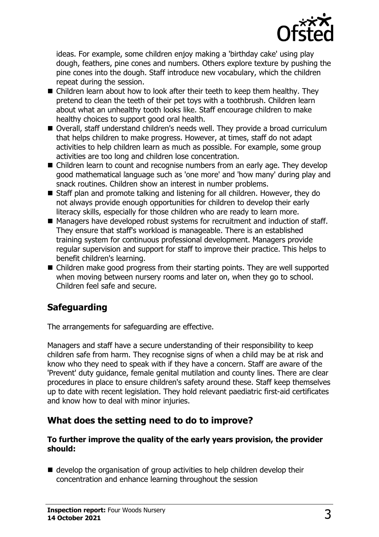

ideas. For example, some children enjoy making a 'birthday cake' using play dough, feathers, pine cones and numbers. Others explore texture by pushing the pine cones into the dough. Staff introduce new vocabulary, which the children repeat during the session.

- Children learn about how to look after their teeth to keep them healthy. They pretend to clean the teeth of their pet toys with a toothbrush. Children learn about what an unhealthy tooth looks like. Staff encourage children to make healthy choices to support good oral health.
- Overall, staff understand children's needs well. They provide a broad curriculum that helps children to make progress. However, at times, staff do not adapt activities to help children learn as much as possible. For example, some group activities are too long and children lose concentration.
- Children learn to count and recognise numbers from an early age. They develop good mathematical language such as 'one more' and 'how many' during play and snack routines. Children show an interest in number problems.
- $\blacksquare$  Staff plan and promote talking and listening for all children. However, they do not always provide enough opportunities for children to develop their early literacy skills, especially for those children who are ready to learn more.
- Managers have developed robust systems for recruitment and induction of staff. They ensure that staff's workload is manageable. There is an established training system for continuous professional development. Managers provide regular supervision and support for staff to improve their practice. This helps to benefit children's learning.
- $\blacksquare$  Children make good progress from their starting points. They are well supported when moving between nursery rooms and later on, when they go to school. Children feel safe and secure.

# **Safeguarding**

The arrangements for safeguarding are effective.

Managers and staff have a secure understanding of their responsibility to keep children safe from harm. They recognise signs of when a child may be at risk and know who they need to speak with if they have a concern. Staff are aware of the 'Prevent' duty guidance, female genital mutilation and county lines. There are clear procedures in place to ensure children's safety around these. Staff keep themselves up to date with recent legislation. They hold relevant paediatric first-aid certificates and know how to deal with minor injuries.

# **What does the setting need to do to improve?**

#### **To further improve the quality of the early years provision, the provider should:**

 $\blacksquare$  develop the organisation of group activities to help children develop their concentration and enhance learning throughout the session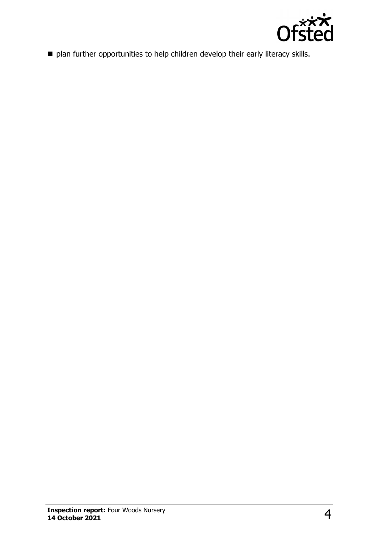

n plan further opportunities to help children develop their early literacy skills.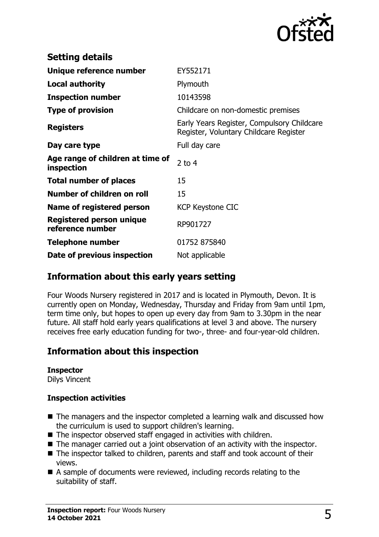

| <b>Setting details</b>                         |                                                                                      |
|------------------------------------------------|--------------------------------------------------------------------------------------|
| Unique reference number                        | EY552171                                                                             |
| <b>Local authority</b>                         | Plymouth                                                                             |
| <b>Inspection number</b>                       | 10143598                                                                             |
| <b>Type of provision</b>                       | Childcare on non-domestic premises                                                   |
| <b>Registers</b>                               | Early Years Register, Compulsory Childcare<br>Register, Voluntary Childcare Register |
| Day care type                                  | Full day care                                                                        |
| Age range of children at time of<br>inspection | 2 to $4$                                                                             |
| <b>Total number of places</b>                  | 15                                                                                   |
| Number of children on roll                     | 15                                                                                   |
| Name of registered person                      | <b>KCP Keystone CIC</b>                                                              |
| Registered person unique<br>reference number   | RP901727                                                                             |
| Telephone number                               | 01752 875840                                                                         |
| Date of previous inspection                    | Not applicable                                                                       |

# **Information about this early years setting**

Four Woods Nursery registered in 2017 and is located in Plymouth, Devon. It is currently open on Monday, Wednesday, Thursday and Friday from 9am until 1pm, term time only, but hopes to open up every day from 9am to 3.30pm in the near future. All staff hold early years qualifications at level 3 and above. The nursery receives free early education funding for two-, three- and four-year-old children.

# **Information about this inspection**

#### **Inspector**

Dilys Vincent

#### **Inspection activities**

- $\blacksquare$  The managers and the inspector completed a learning walk and discussed how the curriculum is used to support children's learning.
- $\blacksquare$  The inspector observed staff engaged in activities with children.
- $\blacksquare$  The manager carried out a joint observation of an activity with the inspector.
- $\blacksquare$  The inspector talked to children, parents and staff and took account of their views.
- $\blacksquare$  A sample of documents were reviewed, including records relating to the suitability of staff.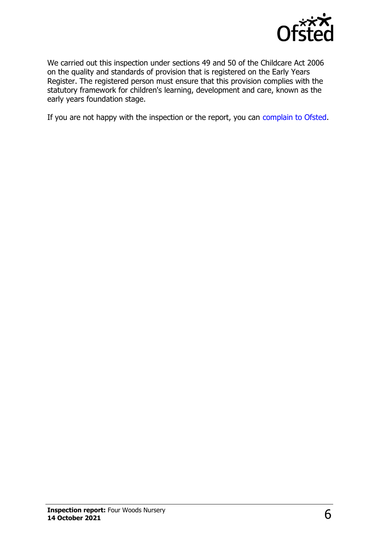

We carried out this inspection under sections 49 and 50 of the Childcare Act 2006 on the quality and standards of provision that is registered on the Early Years Register. The registered person must ensure that this provision complies with the statutory framework for children's learning, development and care, known as the early years foundation stage.

If you are not happy with the inspection or the report, you can [complain to Ofsted](http://www.gov.uk/complain-ofsted-report).